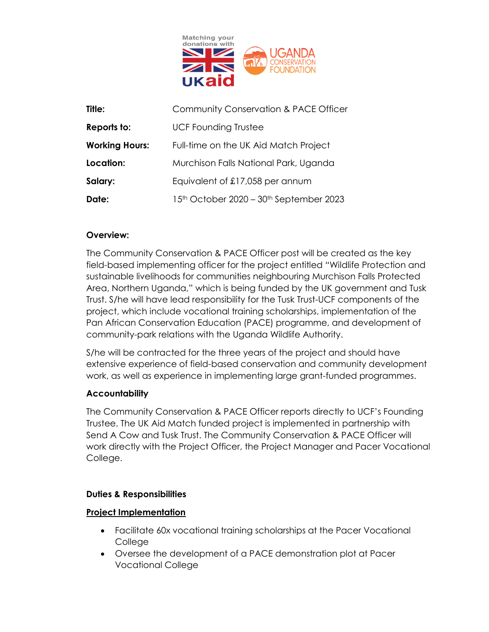

| Title:                | Community Conservation & PACE Officer   |
|-----------------------|-----------------------------------------|
| Reports to:           | <b>UCF Founding Trustee</b>             |
| <b>Working Hours:</b> | Full-time on the UK Aid Match Project   |
| Location:             | Murchison Falls National Park, Uganda   |
| Salary:               | Equivalent of £17,058 per annum         |
| Date:                 | 15th October 2020 - 30th September 2023 |

## **Overview:**

The Community Conservation & PACE Officer post will be created as the key field-based implementing officer for the project entitled "Wildlife Protection and sustainable livelihoods for communities neighbouring Murchison Falls Protected Area, Northern Uganda," which is being funded by the UK government and Tusk Trust. S/he will have lead responsibility for the Tusk Trust-UCF components of the project, which include vocational training scholarships, implementation of the Pan African Conservation Education (PACE) programme, and development of community-park relations with the Uganda Wildlife Authority.

S/he will be contracted for the three years of the project and should have extensive experience of field-based conservation and community development work, as well as experience in implementing large grant-funded programmes.

### **Accountability**

The Community Conservation & PACE Officer reports directly to UCF's Founding Trustee. The UK Aid Match funded project is implemented in partnership with Send A Cow and Tusk Trust. The Community Conservation & PACE Officer will work directly with the Project Officer, the Project Manager and Pacer Vocational College.

## **Duties & Responsibilities**

## **Project Implementation**

- Facilitate 60x vocational training scholarships at the Pacer Vocational College
- Oversee the development of a PACE demonstration plot at Pacer Vocational College